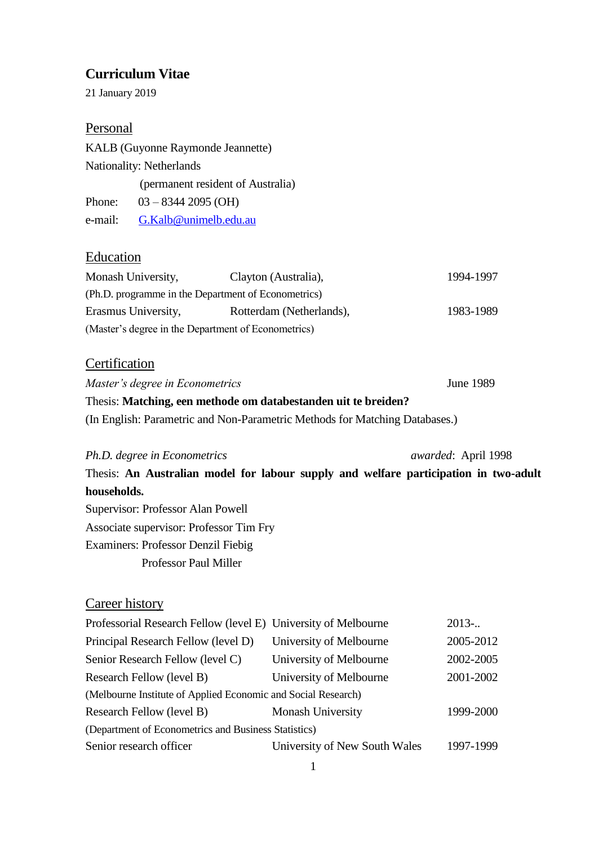# **Curriculum Vitae**

21 January 2019

### Personal

KALB (Guyonne Raymonde Jeannette) Nationality: Netherlands (permanent resident of Australia) Phone: 03 – 8344 2095 (OH) e-mail: [G.Kalb@unimelb.edu.au](mailto:G.Kalb@unimelb.edu.au)

#### **Education**

| Monash University,                                  | Clayton (Australia),     | 1994-1997 |  |
|-----------------------------------------------------|--------------------------|-----------|--|
| (Ph.D. programme in the Department of Econometrics) |                          |           |  |
| Erasmus University,                                 | Rotterdam (Netherlands), | 1983-1989 |  |
| (Master's degree in the Department of Econometrics) |                          |           |  |

# **Certification**

*Master's degree in Econometrics* June 1989 Thesis: **Matching, een methode om databestanden uit te breiden?**

(In English: Parametric and Non-Parametric Methods for Matching Databases.)

*Ph.D. degree in Econometrics awarded*: April 1998 Thesis: **An Australian model for labour supply and welfare participation in two-adult households.** Supervisor: Professor Alan Powell Associate supervisor: Professor Tim Fry Examiners: Professor Denzil Fiebig Professor Paul Miller

# Career history

| Professorial Research Fellow (level E) University of Melbourne |                               | $2013-$   |  |  |  |
|----------------------------------------------------------------|-------------------------------|-----------|--|--|--|
| Principal Research Fellow (level D)                            | University of Melbourne       | 2005-2012 |  |  |  |
| Senior Research Fellow (level C)                               | University of Melbourne       | 2002-2005 |  |  |  |
| Research Fellow (level B)                                      | University of Melbourne       | 2001-2002 |  |  |  |
| (Melbourne Institute of Applied Economic and Social Research)  |                               |           |  |  |  |
| Research Fellow (level B)                                      | <b>Monash University</b>      | 1999-2000 |  |  |  |
| (Department of Econometrics and Business Statistics)           |                               |           |  |  |  |
| Senior research officer                                        | University of New South Wales | 1997-1999 |  |  |  |
|                                                                |                               |           |  |  |  |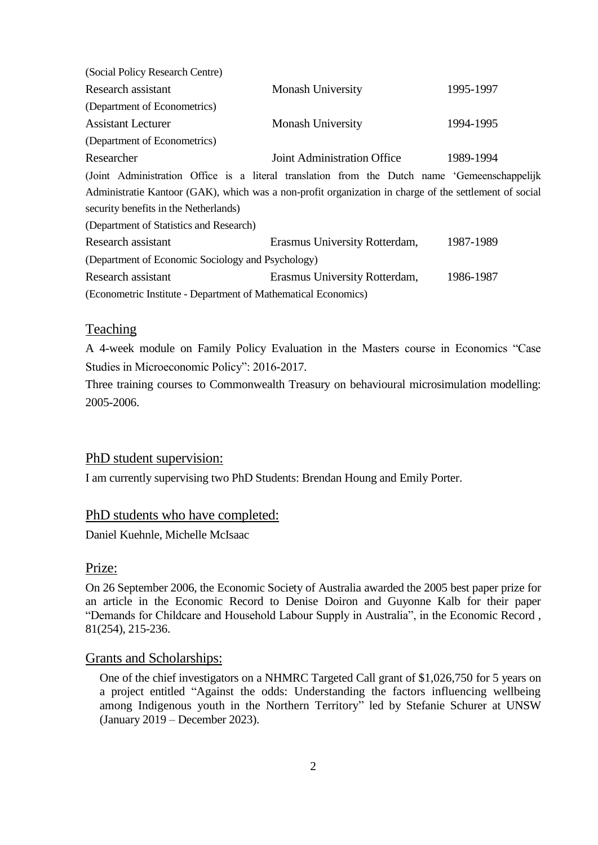| (Social Policy Research Centre)                                |                                                                                                        |           |
|----------------------------------------------------------------|--------------------------------------------------------------------------------------------------------|-----------|
| Research assistant                                             | <b>Monash University</b>                                                                               | 1995-1997 |
| (Department of Econometrics)                                   |                                                                                                        |           |
| <b>Assistant Lecturer</b>                                      | <b>Monash University</b>                                                                               | 1994-1995 |
| (Department of Econometrics)                                   |                                                                                                        |           |
| Researcher                                                     | Joint Administration Office                                                                            | 1989-1994 |
|                                                                | (Joint Administration Office is a literal translation from the Dutch name 'Gemeenschappelijk           |           |
|                                                                | Administratie Kantoor (GAK), which was a non-profit organization in charge of the settlement of social |           |
| security benefits in the Netherlands)                          |                                                                                                        |           |
| (Department of Statistics and Research)                        |                                                                                                        |           |
| Research assistant                                             | Erasmus University Rotterdam,                                                                          | 1987-1989 |
| (Department of Economic Sociology and Psychology)              |                                                                                                        |           |
| Research assistant                                             | Erasmus University Rotterdam,                                                                          | 1986-1987 |
| (Econometric Institute - Department of Mathematical Economics) |                                                                                                        |           |

# **Teaching**

A 4-week module on Family Policy Evaluation in the Masters course in Economics "Case Studies in Microeconomic Policy": 2016-2017.

Three training courses to Commonwealth Treasury on behavioural microsimulation modelling: 2005-2006.

# PhD student supervision:

I am currently supervising two PhD Students: Brendan Houng and Emily Porter.

### PhD students who have completed:

Daniel Kuehnle, Michelle McIsaac

#### Prize:

On 26 September 2006, the Economic Society of Australia awarded the 2005 best paper prize for an article in the Economic Record to Denise Doiron and Guyonne Kalb for their paper "Demands for Childcare and Household Labour Supply in Australia", in the Economic Record , 81(254), 215-236.

#### Grants and Scholarships:

One of the chief investigators on a NHMRC Targeted Call grant of \$1,026,750 for 5 years on a project entitled "Against the odds: Understanding the factors influencing wellbeing among Indigenous youth in the Northern Territory" led by Stefanie Schurer at UNSW (January 2019 – December 2023).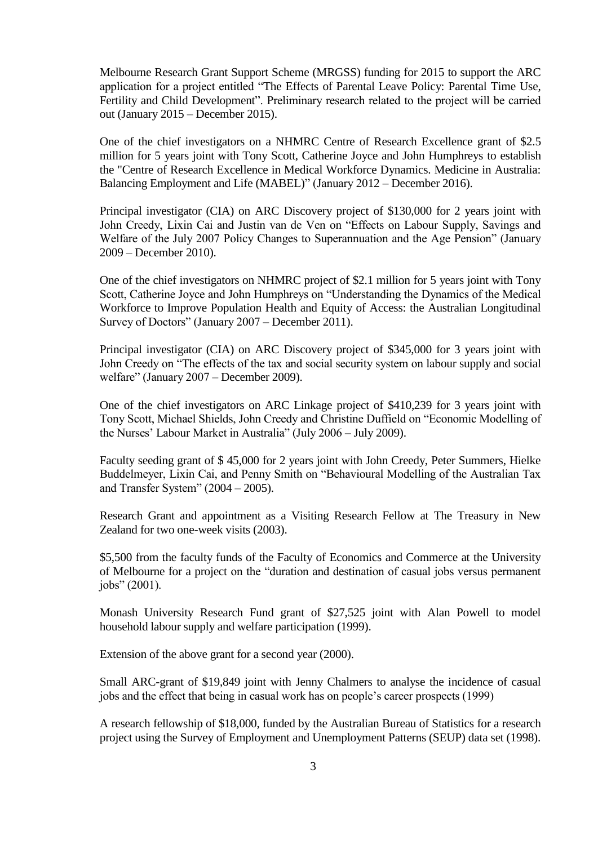Melbourne Research Grant Support Scheme (MRGSS) funding for 2015 to support the ARC application for a project entitled "The Effects of Parental Leave Policy: Parental Time Use, Fertility and Child Development". Preliminary research related to the project will be carried out (January 2015 – December 2015).

One of the chief investigators on a NHMRC Centre of Research Excellence grant of \$2.5 million for 5 years joint with Tony Scott, Catherine Joyce and John Humphreys to establish the "Centre of Research Excellence in Medical Workforce Dynamics. Medicine in Australia: Balancing Employment and Life (MABEL)" (January 2012 – December 2016).

Principal investigator (CIA) on ARC Discovery project of \$130,000 for 2 years joint with John Creedy, Lixin Cai and Justin van de Ven on "Effects on Labour Supply, Savings and Welfare of the July 2007 Policy Changes to Superannuation and the Age Pension" (January 2009 – December 2010).

One of the chief investigators on NHMRC project of \$2.1 million for 5 years joint with Tony Scott, Catherine Joyce and John Humphreys on "Understanding the Dynamics of the Medical Workforce to Improve Population Health and Equity of Access: the Australian Longitudinal Survey of Doctors" (January 2007 – December 2011).

Principal investigator (CIA) on ARC Discovery project of \$345,000 for 3 years joint with John Creedy on "The effects of the tax and social security system on labour supply and social welfare" (January 2007 – December 2009).

One of the chief investigators on ARC Linkage project of \$410,239 for 3 years joint with Tony Scott, Michael Shields, John Creedy and Christine Duffield on "Economic Modelling of the Nurses' Labour Market in Australia" (July 2006 – July 2009).

Faculty seeding grant of \$ 45,000 for 2 years joint with John Creedy, Peter Summers, Hielke Buddelmeyer, Lixin Cai, and Penny Smith on "Behavioural Modelling of the Australian Tax and Transfer System" (2004 – 2005).

Research Grant and appointment as a Visiting Research Fellow at The Treasury in New Zealand for two one-week visits (2003).

\$5,500 from the faculty funds of the Faculty of Economics and Commerce at the University of Melbourne for a project on the "duration and destination of casual jobs versus permanent jobs" (2001).

Monash University Research Fund grant of \$27,525 joint with Alan Powell to model household labour supply and welfare participation (1999).

Extension of the above grant for a second year (2000).

Small ARC-grant of \$19,849 joint with Jenny Chalmers to analyse the incidence of casual jobs and the effect that being in casual work has on people's career prospects (1999)

A research fellowship of \$18,000, funded by the Australian Bureau of Statistics for a research project using the Survey of Employment and Unemployment Patterns (SEUP) data set (1998).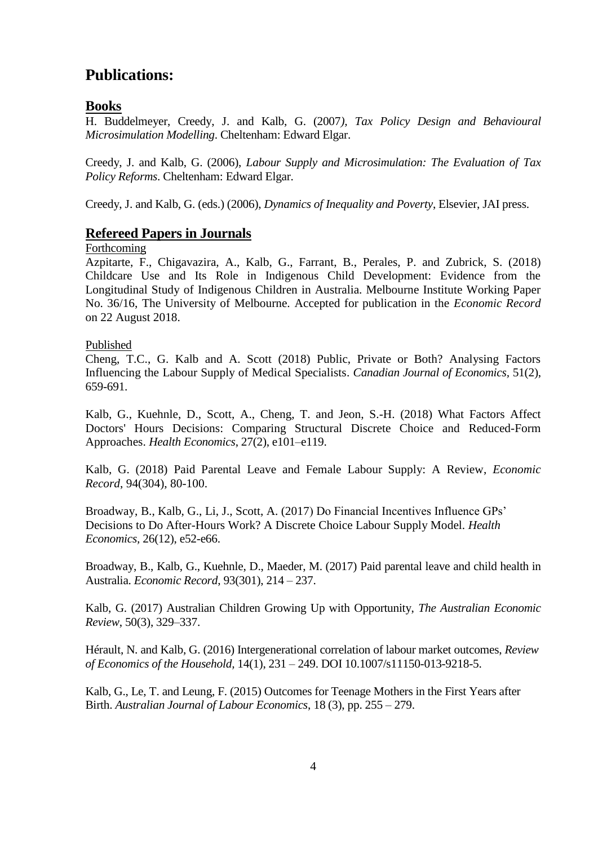# **Publications:**

# **Books**

H. Buddelmeyer, Creedy, J. and Kalb, G. (2007*), Tax Policy Design and Behavioural Microsimulation Modelling*. Cheltenham: Edward Elgar.

Creedy, J. and Kalb, G. (2006), *Labour Supply and Microsimulation: The Evaluation of Tax Policy Reforms*. Cheltenham: Edward Elgar.

Creedy, J. and Kalb, G. (eds.) (2006), *Dynamics of Inequality and Poverty*, Elsevier, JAI press.

# **Refereed Papers in Journals**

# Forthcoming

Azpitarte, F., Chigavazira, A., Kalb, G., Farrant, B., Perales, P. and Zubrick, S. (2018) Childcare Use and Its Role in Indigenous Child Development: Evidence from the Longitudinal Study of Indigenous Children in Australia. Melbourne Institute Working Paper No. 36/16, The University of Melbourne. Accepted for publication in the *Economic Record* on 22 August 2018.

Published

Cheng, T.C., G. Kalb and A. Scott (2018) Public, Private or Both? Analysing Factors Influencing the Labour Supply of Medical Specialists. *Canadian Journal of Economics,* 51(2), 659-691.

Kalb, G., Kuehnle, D., Scott, A., Cheng, T. and Jeon, S.-H. (2018) What Factors Affect Doctors' Hours Decisions: Comparing Structural Discrete Choice and Reduced-Form Approaches. *Health Economics*, 27(2), e101–e119.

Kalb, G. (2018) Paid Parental Leave and Female Labour Supply: A Review, *Economic Record*, 94(304), 80-100.

Broadway, B., Kalb, G., Li, J., Scott, A. (2017) Do Financial Incentives Influence GPs' Decisions to Do After-Hours Work? A Discrete Choice Labour Supply Model. *Health Economics,* 26(12), e52-e66.

Broadway, B., Kalb, G., Kuehnle, D., Maeder, M. (2017) Paid parental leave and child health in Australia. *Economic Record*, 93(301), 214 – 237.

Kalb, G. (2017) Australian Children Growing Up with Opportunity, *The Australian Economic Review*, 50(3), 329–337.

Hérault, N. and Kalb, G. (2016) Intergenerational correlation of labour market outcomes, *Review of Economics of the Household,* 14(1), 231 – 249. DOI 10.1007/s11150-013-9218-5.

Kalb, G., Le, T. and Leung, F. (2015) Outcomes for Teenage Mothers in the First Years after Birth. *Australian Journal of Labour Economics*, 18 (3), pp. 255 – 279.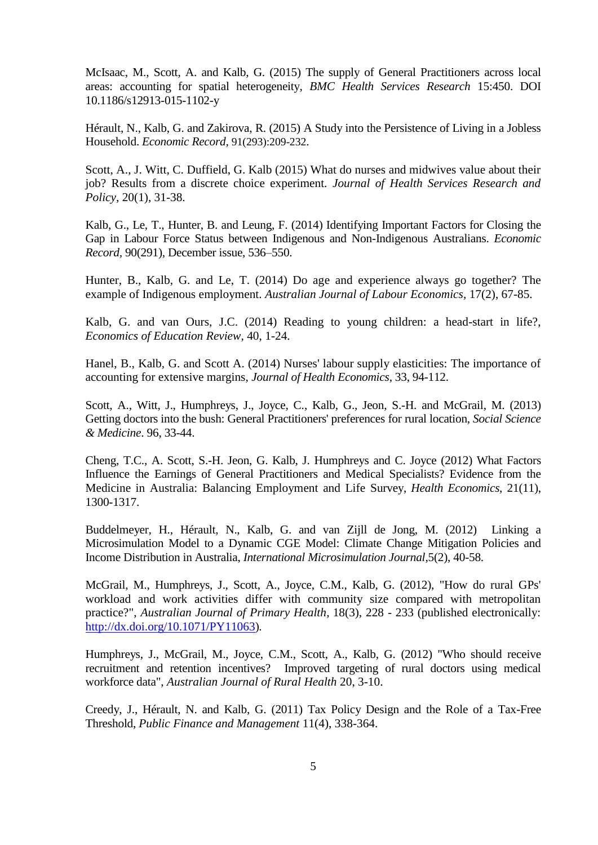McIsaac, M., Scott, A. and Kalb, G. (2015) The supply of General Practitioners across local areas: accounting for spatial heterogeneity, *BMC Health Services Research* 15:450. DOI 10.1186/s12913-015-1102-y

Hérault, N., Kalb, G. and Zakirova, R. (2015) A Study into the Persistence of Living in a Jobless Household. *Economic Record,* 91(293):209-232.

Scott, A., J. Witt, C. Duffield, G. Kalb (2015) What do nurses and midwives value about their job? Results from a discrete choice experiment. *Journal of Health Services Research and Policy*, 20(1), 31-38.

Kalb, G., Le, T., Hunter, B. and Leung, F. (2014) Identifying Important Factors for Closing the Gap in Labour Force Status between Indigenous and Non-Indigenous Australians. *Economic Record,* 90(291), December issue, 536–550.

Hunter, B., Kalb, G. and Le, T. (2014) Do age and experience always go together? The example of Indigenous employment. *Australian Journal of Labour Economics*, 17(2), 67-85.

Kalb, G. and van Ours, J.C. (2014) Reading to young children: a head-start in life?, *Economics of Education Review*, 40, 1-24.

Hanel, B., Kalb, G. and Scott A. (2014) Nurses' labour supply elasticities: The importance of accounting for extensive margins, *Journal of Health Economics,* 33, 94-112.

Scott, A., Witt, J., Humphreys, J., Joyce, C., Kalb, G., Jeon, S.-H. and McGrail, M. (2013) Getting doctors into the bush: General Practitioners' preferences for rural location, *Social Science & Medicine*. 96, 33-44.

Cheng, T.C., A. Scott, S.-H. Jeon, G. Kalb, J. Humphreys and C. Joyce (2012) What Factors Influence the Earnings of General Practitioners and Medical Specialists? Evidence from the Medicine in Australia: Balancing Employment and Life Survey, *Health Economics*, 21(11), 1300-1317.

Buddelmeyer, H., Hérault, N., Kalb, G. and van Zijll de Jong, M. (2012) Linking a Microsimulation Model to a Dynamic CGE Model: Climate Change Mitigation Policies and Income Distribution in Australia, *International Microsimulation Journal*,5(2), 40-58.

McGrail, M., Humphreys, J., Scott, A., Joyce, C.M., Kalb, G. (2012), "How do rural GPs' workload and work activities differ with community size compared with metropolitan practice?", *Australian Journal of Primary Health,* 18(3), 228 - 233 (published electronically: [http://dx.doi.org/10.1071/PY11063\)](http://dx.doi.org/10.1071/PY11063)*.*

Humphreys, J., McGrail, M., Joyce, C.M., Scott, A., Kalb, G. (2012) "Who should receive recruitment and retention incentives? Improved targeting of rural doctors using medical workforce data", *Australian Journal of Rural Health* 20, 3-10.

Creedy, J., Hérault, N. and Kalb, G. (2011) Tax Policy Design and the Role of a Tax-Free Threshold, *Public Finance and Management* 11(4), 338-364.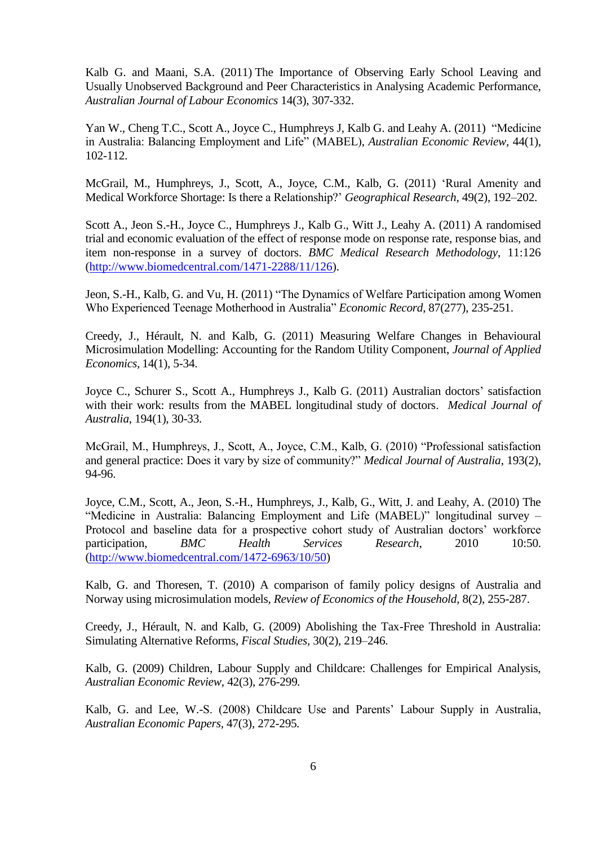Kalb G. and Maani, S.A. (2011) The Importance of Observing Early School Leaving and Usually Unobserved Background and Peer Characteristics in Analysing Academic Performance, *Australian Journal of Labour Economics* 14(3), 307-332.

Yan W., Cheng T.C., Scott A., Joyce C., Humphreys J, Kalb G. and Leahy A. (2011) "Medicine in Australia: Balancing Employment and Life" (MABEL), *Australian Economic Review,* 44(1), 102-112.

McGrail, M., Humphreys, J., Scott, A., Joyce, C.M., Kalb, G. (2011) 'Rural Amenity and Medical Workforce Shortage: Is there a Relationship?' *Geographical Research,* 49(2), 192–202.

Scott A., Jeon S.-H., Joyce C., Humphreys J., Kalb G., Witt J., Leahy A. (2011) A randomised trial and economic evaluation of the effect of response mode on response rate, response bias, and item non-response in a survey of doctors. *BMC Medical Research Methodology*, 11:126 [\(http://www.biomedcentral.com/1471-2288/11/126\)](http://www.biomedcentral.com/1471-2288/11/126).

Jeon, S.-H., Kalb, G. and Vu, H. (2011) "The Dynamics of Welfare Participation among Women Who Experienced Teenage Motherhood in Australia" *Economic Record*, 87(277), 235-251.

Creedy, J., Hérault, N. and Kalb, G. (2011) Measuring Welfare Changes in Behavioural Microsimulation Modelling: Accounting for the Random Utility Component, *Journal of Applied Economics,* 14(1), 5-34.

Joyce C., Schurer S., Scott A., Humphreys J., Kalb G. (2011) Australian doctors' satisfaction with their work: results from the MABEL longitudinal study of doctors. *Medical Journal of Australia*, 194(1), 30-33.

McGrail, M., Humphreys, J., Scott, A., Joyce, C.M., Kalb, G. (2010) "Professional satisfaction and general practice: Does it vary by size of community?" *Medical Journal of Australia*, 193(2), 94-96.

Joyce, C.M., Scott, A., Jeon, S.-H., Humphreys, J., Kalb, G., Witt, J. and Leahy, A. (2010) The "Medicine in Australia: Balancing Employment and Life (MABEL)" longitudinal survey – Protocol and baseline data for a prospective cohort study of Australian doctors' workforce participation, *BMC Health Services Research*, 2010 10:50. [\(http://www.biomedcentral.com/1472-6963/10/50\)](http://www.biomedcentral.com/1472-6963/10/50)

Kalb, G. and Thoresen, T. (2010) A comparison of family policy designs of Australia and Norway using microsimulation models, *Review of Economics of the Household*, 8(2), 255-287.

Creedy, J., Hérault, N. and Kalb, G. (2009) Abolishing the Tax-Free Threshold in Australia: Simulating Alternative Reforms, *Fiscal Studies,* 30(2), 219–246.

Kalb, G. (2009) Children, Labour Supply and Childcare: Challenges for Empirical Analysis, *Australian Economic Review*, 42(3), 276-299*.*

Kalb, G. and Lee, W.-S. (2008) Childcare Use and Parents' Labour Supply in Australia, *Australian Economic Papers,* 47(3), 272-295*.*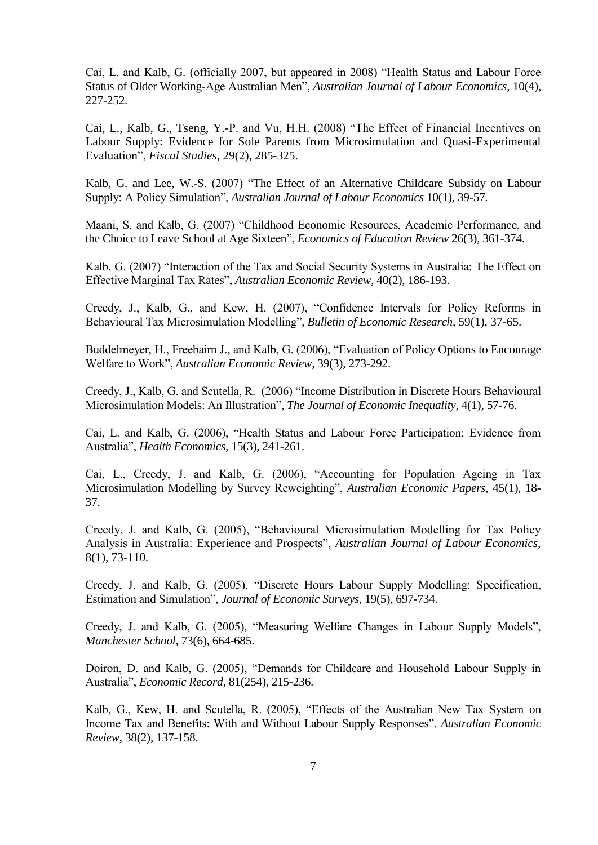Cai, L. and Kalb, G. (officially 2007, but appeared in 2008) "Health Status and Labour Force Status of Older Working-Age Australian Men", *Australian Journal of Labour Economics*, 10(4), 227-252.

Cai, L., Kalb, G., Tseng, Y.-P. and Vu, H.H. (2008) "The Effect of Financial Incentives on Labour Supply: Evidence for Sole Parents from Microsimulation and Quasi-Experimental Evaluation", *Fiscal Studies*, 29(2), 285-325.

Kalb, G. and Lee, W.-S. (2007) "The Effect of an Alternative Childcare Subsidy on Labour Supply: A Policy Simulation", *Australian Journal of Labour Economics* 10(1), 39-57*.*

Maani, S. and Kalb, G. (2007) "Childhood Economic Resources, Academic Performance, and the Choice to Leave School at Age Sixteen", *Economics of Education Review* 26(3), 361-374.

Kalb, G. (2007) "Interaction of the Tax and Social Security Systems in Australia: The Effect on Effective Marginal Tax Rates", *Australian Economic Review*, 40(2), 186-193.

Creedy, J., Kalb, G., and Kew, H. (2007), "Confidence Intervals for Policy Reforms in Behavioural Tax Microsimulation Modelling", *Bulletin of Economic Research,* 59(1), 37-65.

Buddelmeyer, H., Freebairn J., and Kalb, G. (2006), "Evaluation of Policy Options to Encourage Welfare to Work", *Australian Economic Review*, 39(3), 273-292.

Creedy, J., Kalb, G. and Scutella, R. (2006) "Income Distribution in Discrete Hours Behavioural Microsimulation Models: An Illustration", *The Journal of Economic Inequality*, 4(1), 57-76.

Cai, L. and Kalb, G. (2006), "Health Status and Labour Force Participation: Evidence from Australia", *Health Economics,* 15(3), 241-261.

Cai, L., Creedy, J. and Kalb, G. (2006), "Accounting for Population Ageing in Tax Microsimulation Modelling by Survey Reweighting", *Australian Economic Papers*, 45(1), 18- 37.

Creedy, J. and Kalb, G. (2005), "Behavioural Microsimulation Modelling for Tax Policy Analysis in Australia: Experience and Prospects", *Australian Journal of Labour Economics,* 8(1), 73-110*.*

Creedy, J. and Kalb, G. (2005), "Discrete Hours Labour Supply Modelling: Specification, Estimation and Simulation", *Journal of Economic Surveys,* 19(5), 697-734.

Creedy, J. and Kalb, G. (2005), "Measuring Welfare Changes in Labour Supply Models", *Manchester School,* 73(6), 664-685.

Doiron, D. and Kalb, G. (2005), "Demands for Childcare and Household Labour Supply in Australia", *Economic Record*, 81(254), 215-236.

Kalb, G., Kew, H. and Scutella, R. (2005), "Effects of the Australian New Tax System on Income Tax and Benefits: With and Without Labour Supply Responses". *Australian Economic Review,* 38(2), 137-158.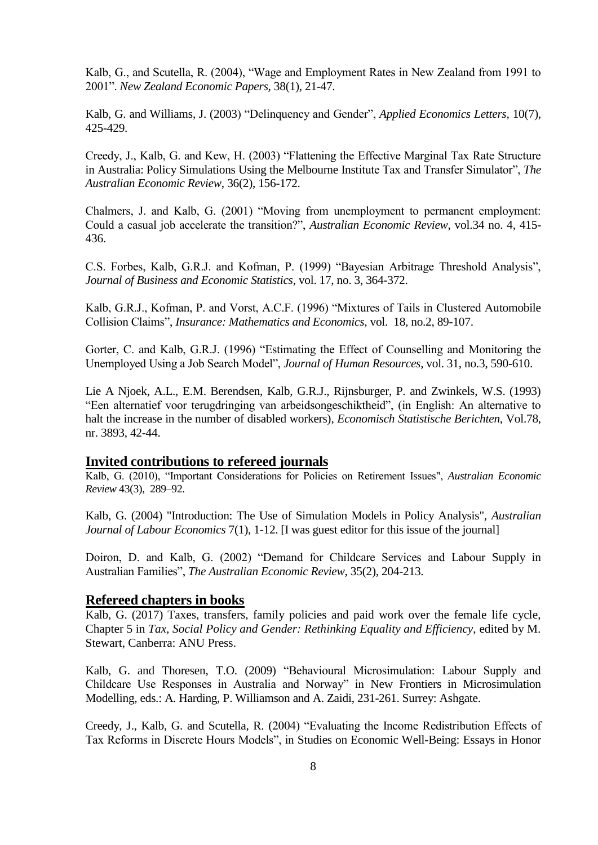Kalb, G., and Scutella, R. (2004), "Wage and Employment Rates in New Zealand from 1991 to 2001". *New Zealand Economic Papers,* 38(1), 21-47.

Kalb, G. and Williams, J. (2003) "Delinquency and Gender", *Applied Economics Letters,* 10(7), 425-429.

Creedy, J., Kalb, G. and Kew, H. (2003) "Flattening the Effective Marginal Tax Rate Structure in Australia: Policy Simulations Using the Melbourne Institute Tax and Transfer Simulator", *The Australian Economic Review*, 36(2), 156-172.

Chalmers, J. and Kalb, G. (2001) "Moving from unemployment to permanent employment: Could a casual job accelerate the transition?", *Australian Economic Review*, vol.34 no. 4, 415- 436.

C.S. Forbes, Kalb, G.R.J. and Kofman, P. (1999) "Bayesian Arbitrage Threshold Analysis", *Journal of Business and Economic Statistics*, vol. 17, no. 3, 364-372.

Kalb, G.R.J., Kofman, P. and Vorst, A.C.F. (1996) "Mixtures of Tails in Clustered Automobile Collision Claims", *Insurance: Mathematics and Economics*, vol. 18, no.2, 89-107.

Gorter, C. and Kalb, G.R.J. (1996) "Estimating the Effect of Counselling and Monitoring the Unemployed Using a Job Search Model", *Journal of Human Resources*, vol. 31, no.3, 590-610.

Lie A Njoek, A.L., E.M. Berendsen, Kalb, G.R.J., Rijnsburger, P. and Zwinkels, W.S. (1993) "Een alternatief voor terugdringing van arbeidsongeschiktheid", (in English: An alternative to halt the increase in the number of disabled workers), *Economisch Statistische Berichten*, Vol.78, nr. 3893, 42-44.

#### **Invited contributions to refereed journals**

Kalb, G. (2010), "Important Considerations for Policies on Retirement Issues", *Australian Economic Review* 43(3), 289–92.

Kalb, G. (2004) "Introduction: The Use of Simulation Models in Policy Analysis", *Australian Journal of Labour Economics* 7(1), 1-12. [I was guest editor for this issue of the journal]

Doiron, D. and Kalb, G. (2002) "Demand for Childcare Services and Labour Supply in Australian Families", *The Australian Economic Review*, 35(2), 204-213.

### **Refereed chapters in books**

Kalb, G. (2017) Taxes, transfers, family policies and paid work over the female life cycle, Chapter 5 in *Tax, Social Policy and Gender: Rethinking Equality and Efficiency*, edited by M. Stewart, Canberra: ANU Press.

Kalb, G. and Thoresen, T.O. (2009) "Behavioural Microsimulation: Labour Supply and Childcare Use Responses in Australia and Norway" in New Frontiers in Microsimulation Modelling, eds.: A. Harding, P. Williamson and A. Zaidi, 231-261. Surrey: Ashgate.

Creedy, J., Kalb, G. and Scutella, R. (2004) "Evaluating the Income Redistribution Effects of Tax Reforms in Discrete Hours Models", in Studies on Economic Well-Being: Essays in Honor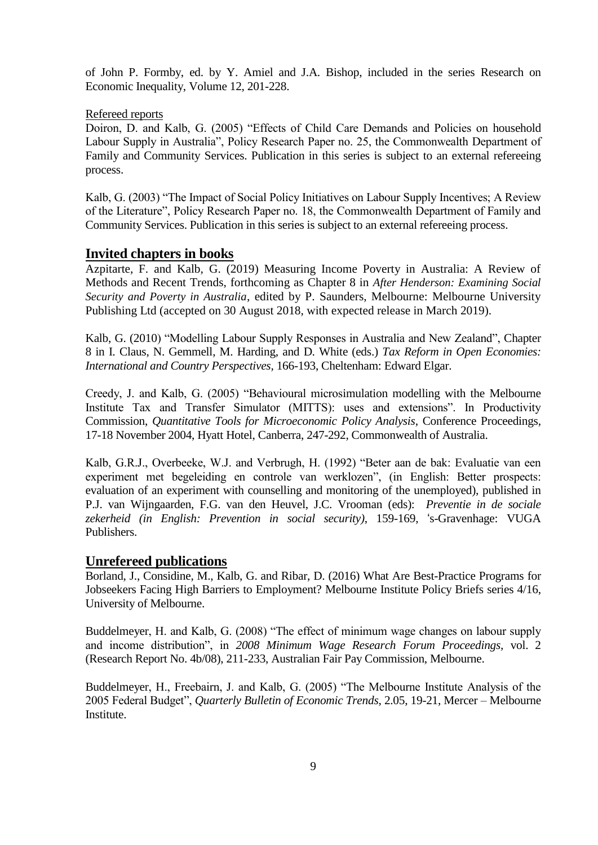of John P. Formby, ed. by Y. Amiel and J.A. Bishop, included in the series Research on Economic Inequality, Volume 12, 201-228.

#### Refereed reports

Doiron, D. and Kalb, G. (2005) "Effects of Child Care Demands and Policies on household Labour Supply in Australia", Policy Research Paper no. 25, the Commonwealth Department of Family and Community Services. Publication in this series is subject to an external refereeing process.

Kalb, G. (2003) "The Impact of Social Policy Initiatives on Labour Supply Incentives; A Review of the Literature", Policy Research Paper no. 18, the Commonwealth Department of Family and Community Services. Publication in this series is subject to an external refereeing process.

# **Invited chapters in books**

Azpitarte, F. and Kalb, G. (2019) Measuring Income Poverty in Australia: A Review of Methods and Recent Trends, forthcoming as Chapter 8 in *After Henderson: Examining Social Security and Poverty in Australia*, edited by P. Saunders, Melbourne: Melbourne University Publishing Ltd (accepted on 30 August 2018, with expected release in March 2019).

Kalb, G. (2010) "Modelling Labour Supply Responses in Australia and New Zealand", Chapter 8 in I. Claus, N. Gemmell, M. Harding, and D. White (eds.) *Tax Reform in Open Economies: International and Country Perspectives,* 166-193, Cheltenham: Edward Elgar.

Creedy, J. and Kalb, G. (2005) "Behavioural microsimulation modelling with the Melbourne Institute Tax and Transfer Simulator (MITTS): uses and extensions". In Productivity Commission, *Quantitative Tools for Microeconomic Policy Analysis*, Conference Proceedings, 17-18 November 2004, Hyatt Hotel, Canberra, 247-292, Commonwealth of Australia.

Kalb, G.R.J., Overbeeke, W.J. and Verbrugh, H. (1992) "Beter aan de bak: Evaluatie van een experiment met begeleiding en controle van werklozen", (in English: Better prospects: evaluation of an experiment with counselling and monitoring of the unemployed), published in P.J. van Wijngaarden, F.G. van den Heuvel, J.C. Vrooman (eds): *Preventie in de sociale zekerheid (in English: Prevention in social security)*, 159-169, 's-Gravenhage: VUGA Publishers.

### **Unrefereed publications**

Borland, J., Considine, M., Kalb, G. and Ribar, D. (2016) What Are Best-Practice Programs for Jobseekers Facing High Barriers to Employment? Melbourne Institute Policy Briefs series 4/16, University of Melbourne.

Buddelmeyer, H. and Kalb, G. (2008) "The effect of minimum wage changes on labour supply and income distribution", in *2008 Minimum Wage Research Forum Proceedings,* vol. 2 (Research Report No. 4b/08), 211-233, Australian Fair Pay Commission, Melbourne.

Buddelmeyer, H., Freebairn, J. and Kalb, G. (2005) "The Melbourne Institute Analysis of the 2005 Federal Budget", *Quarterly Bulletin of Economic Trends*, 2.05, 19-21, Mercer – Melbourne Institute.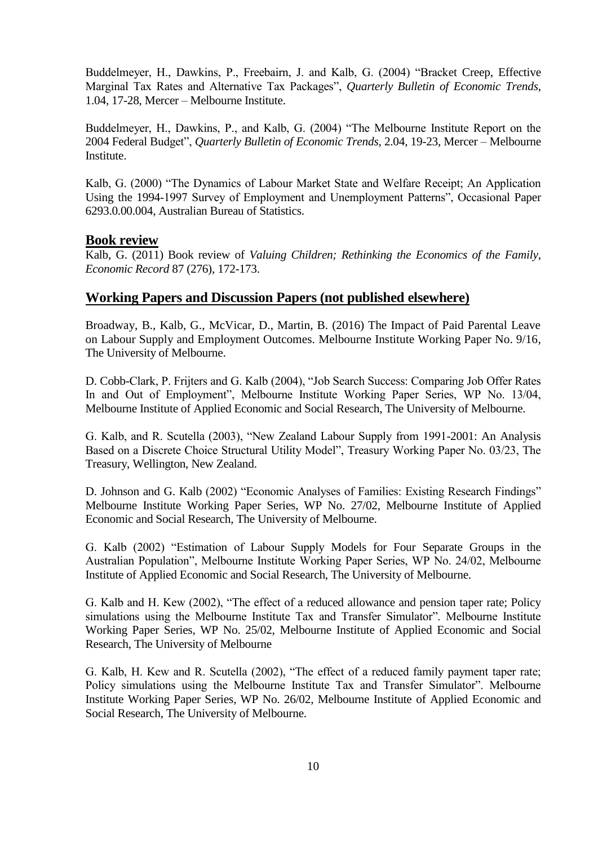Buddelmeyer, H., Dawkins, P., Freebairn, J. and Kalb, G. (2004) "Bracket Creep, Effective Marginal Tax Rates and Alternative Tax Packages", *Quarterly Bulletin of Economic Trends*, 1.04, 17-28, Mercer – Melbourne Institute.

Buddelmeyer, H., Dawkins, P., and Kalb, G. (2004) "The Melbourne Institute Report on the 2004 Federal Budget", *Quarterly Bulletin of Economic Trends*, 2.04, 19-23, Mercer – Melbourne Institute.

Kalb, G. (2000) "The Dynamics of Labour Market State and Welfare Receipt; An Application Using the 1994-1997 Survey of Employment and Unemployment Patterns", Occasional Paper 6293.0.00.004, Australian Bureau of Statistics.

# **Book review**

Kalb, G. (2011) Book review of *[Valuing Children; Rethinking the Economics of the Family](http://scholar.google.com.au/citations?view_op=view_citation&hl=en&user=yS4muooAAAAJ&cstart=100&citation_for_view=yS4muooAAAAJ:yD5IFk8b50cC)*, *Economic Record* 87 (276), 172-173.

# **Working Papers and Discussion Papers (not published elsewhere)**

Broadway, B., Kalb, G., McVicar, D., Martin, B. (2016) The Impact of Paid Parental Leave on Labour Supply and Employment Outcomes. Melbourne Institute Working Paper No. 9/16, The University of Melbourne.

D. Cobb-Clark, P. Frijters and G. Kalb (2004), "Job Search Success: Comparing Job Offer Rates In and Out of Employment", Melbourne Institute Working Paper Series, WP No. 13/04, Melbourne Institute of Applied Economic and Social Research, The University of Melbourne.

G. Kalb, and R. Scutella (2003), "New Zealand Labour Supply from 1991-2001: An Analysis Based on a Discrete Choice Structural Utility Model", Treasury Working Paper No. 03/23, The Treasury, Wellington, New Zealand.

D. Johnson and G. Kalb (2002) "Economic Analyses of Families: Existing Research Findings" Melbourne Institute Working Paper Series, WP No. 27/02, Melbourne Institute of Applied Economic and Social Research, The University of Melbourne.

G. Kalb (2002) "Estimation of Labour Supply Models for Four Separate Groups in the Australian Population", Melbourne Institute Working Paper Series, WP No. 24/02, Melbourne Institute of Applied Economic and Social Research, The University of Melbourne.

G. Kalb and H. Kew (2002), "The effect of a reduced allowance and pension taper rate; Policy simulations using the Melbourne Institute Tax and Transfer Simulator". Melbourne Institute Working Paper Series, WP No. 25/02, Melbourne Institute of Applied Economic and Social Research, The University of Melbourne

G. Kalb, H. Kew and R. Scutella (2002), "The effect of a reduced family payment taper rate; Policy simulations using the Melbourne Institute Tax and Transfer Simulator". Melbourne Institute Working Paper Series, WP No. 26/02, Melbourne Institute of Applied Economic and Social Research, The University of Melbourne.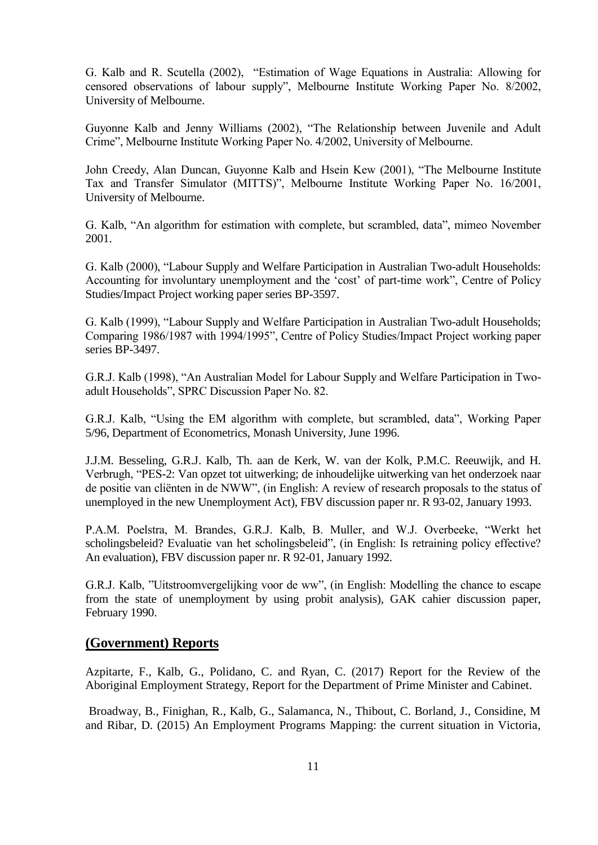G. Kalb and R. Scutella (2002), "Estimation of Wage Equations in Australia: Allowing for censored observations of labour supply", Melbourne Institute Working Paper No. 8/2002, University of Melbourne.

Guyonne Kalb and Jenny Williams (2002), "The Relationship between Juvenile and Adult Crime", Melbourne Institute Working Paper No. 4/2002, University of Melbourne.

John Creedy, Alan Duncan, Guyonne Kalb and Hsein Kew (2001), "The Melbourne Institute Tax and Transfer Simulator (MITTS)", Melbourne Institute Working Paper No. 16/2001, University of Melbourne.

G. Kalb, "An algorithm for estimation with complete, but scrambled, data", mimeo November 2001.

G. Kalb (2000), "Labour Supply and Welfare Participation in Australian Two-adult Households: Accounting for involuntary unemployment and the 'cost' of part-time work", Centre of Policy Studies/Impact Project working paper series BP-3597.

G. Kalb (1999), "Labour Supply and Welfare Participation in Australian Two-adult Households; Comparing 1986/1987 with 1994/1995", Centre of Policy Studies/Impact Project working paper series BP-3497.

G.R.J. Kalb (1998), "An Australian Model for Labour Supply and Welfare Participation in Twoadult Households", SPRC Discussion Paper No. 82.

G.R.J. Kalb, "Using the EM algorithm with complete, but scrambled, data", Working Paper 5/96, Department of Econometrics, Monash University, June 1996.

J.J.M. Besseling, G.R.J. Kalb, Th. aan de Kerk, W. van der Kolk, P.M.C. Reeuwijk, and H. Verbrugh, "PES-2: Van opzet tot uitwerking; de inhoudelijke uitwerking van het onderzoek naar de positie van cliënten in de NWW", (in English: A review of research proposals to the status of unemployed in the new Unemployment Act), FBV discussion paper nr. R 93-02, January 1993.

P.A.M. Poelstra, M. Brandes, G.R.J. Kalb, B. Muller, and W.J. Overbeeke, "Werkt het scholingsbeleid? Evaluatie van het scholingsbeleid", (in English: Is retraining policy effective? An evaluation), FBV discussion paper nr. R 92-01, January 1992.

G.R.J. Kalb, "Uitstroomvergelijking voor de ww", (in English: Modelling the chance to escape from the state of unemployment by using probit analysis), GAK cahier discussion paper, February 1990.

# **(Government) Reports**

Azpitarte, F., Kalb, G., Polidano, C. and Ryan, C. (2017) Report for the Review of the Aboriginal Employment Strategy, Report for the Department of Prime Minister and Cabinet.

Broadway, B., Finighan, R., Kalb, G., Salamanca, N., Thibout, C. Borland, J., Considine, M and Ribar, D. (2015) An Employment Programs Mapping: the current situation in Victoria,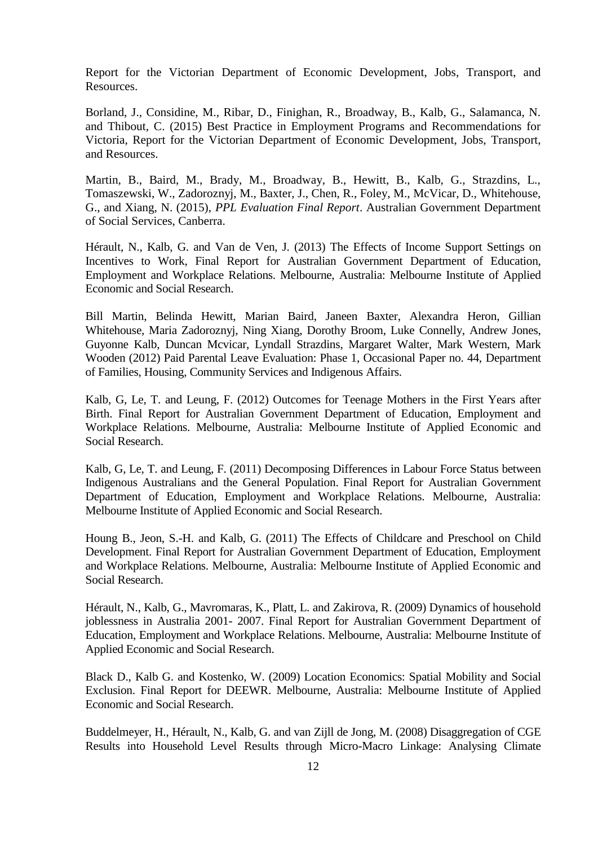Report for the Victorian Department of Economic Development, Jobs, Transport, and Resources.

Borland, J., Considine, M., Ribar, D., Finighan, R., Broadway, B., Kalb, G., Salamanca, N. and Thibout, C. (2015) Best Practice in Employment Programs and Recommendations for Victoria, Report for the Victorian Department of Economic Development, Jobs, Transport, and Resources.

Martin, B., Baird, M., Brady, M., Broadway, B., Hewitt, B., Kalb, G., Strazdins, L., Tomaszewski, W., Zadoroznyj, M., Baxter, J., Chen, R., Foley, M., McVicar, D., Whitehouse, G., and Xiang, N. (2015), *PPL Evaluation Final Report*. Australian Government Department of Social Services, Canberra.

Hérault, N., Kalb, G. and Van de Ven, J. (2013) The Effects of Income Support Settings on Incentives to Work, Final Report for Australian Government Department of Education, Employment and Workplace Relations. Melbourne, Australia: Melbourne Institute of Applied Economic and Social Research.

Bill Martin, Belinda Hewitt, Marian Baird, Janeen Baxter, Alexandra Heron, Gillian Whitehouse, Maria Zadoroznyj, Ning Xiang, Dorothy Broom, Luke Connelly, Andrew Jones, Guyonne Kalb, Duncan Mcvicar, Lyndall Strazdins, Margaret Walter, Mark Western, Mark Wooden (2012) Paid Parental Leave Evaluation: Phase 1, Occasional Paper no. 44, Department of Families, Housing, Community Services and Indigenous Affairs.

Kalb, G, Le, T. and Leung, F. (2012) Outcomes for Teenage Mothers in the First Years after Birth. Final Report for Australian Government Department of Education, Employment and Workplace Relations. Melbourne, Australia: Melbourne Institute of Applied Economic and Social Research.

Kalb, G, Le, T. and Leung, F. (2011) Decomposing Differences in Labour Force Status between Indigenous Australians and the General Population. Final Report for Australian Government Department of Education, Employment and Workplace Relations. Melbourne, Australia: Melbourne Institute of Applied Economic and Social Research.

Houng B., Jeon, S.-H. and Kalb, G. (2011) The Effects of Childcare and Preschool on Child Development. Final Report for Australian Government Department of Education, Employment and Workplace Relations. Melbourne, Australia: Melbourne Institute of Applied Economic and Social Research.

Hérault, N., Kalb, G., Mavromaras, K., Platt, L. and Zakirova, R. (2009) Dynamics of household joblessness in Australia 2001- 2007. Final Report for Australian Government Department of Education, Employment and Workplace Relations. Melbourne, Australia: Melbourne Institute of Applied Economic and Social Research.

Black D., Kalb G. and Kostenko, W. (2009) Location Economics: Spatial Mobility and Social Exclusion. Final Report for DEEWR. Melbourne, Australia: Melbourne Institute of Applied Economic and Social Research.

Buddelmeyer, H., Hérault, N., Kalb, G. and van Zijll de Jong, M. (2008) Disaggregation of CGE Results into Household Level Results through Micro-Macro Linkage: Analysing Climate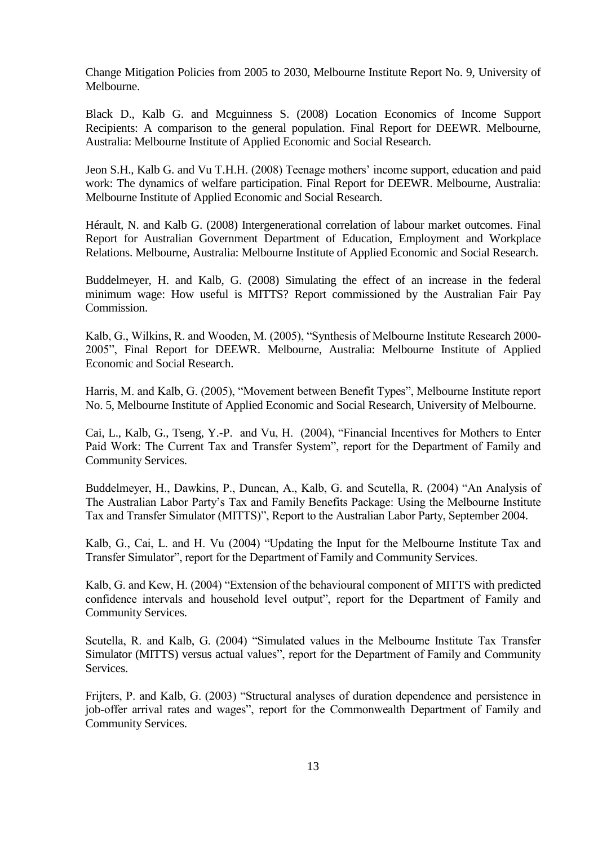Change Mitigation Policies from 2005 to 2030, Melbourne Institute Report No. 9, University of Melbourne.

Black D., Kalb G. and Mcguinness S. (2008) Location Economics of Income Support Recipients: A comparison to the general population. Final Report for DEEWR. Melbourne, Australia: Melbourne Institute of Applied Economic and Social Research.

Jeon S.H., Kalb G. and Vu T.H.H. (2008) Teenage mothers' income support, education and paid work: The dynamics of welfare participation. Final Report for DEEWR. Melbourne, Australia: Melbourne Institute of Applied Economic and Social Research.

Hérault, N. and Kalb G. (2008) Intergenerational correlation of labour market outcomes. Final Report for Australian Government Department of Education, Employment and Workplace Relations. Melbourne, Australia: Melbourne Institute of Applied Economic and Social Research.

Buddelmeyer, H. and Kalb, G. (2008) Simulating the effect of an increase in the federal minimum wage: How useful is MITTS? Report commissioned by the Australian Fair Pay Commission.

Kalb, G., Wilkins, R. and Wooden, M. (2005), "Synthesis of Melbourne Institute Research 2000- 2005", Final Report for DEEWR. Melbourne, Australia: Melbourne Institute of Applied Economic and Social Research.

Harris, M. and Kalb, G. (2005), "Movement between Benefit Types", Melbourne Institute report No. 5, Melbourne Institute of Applied Economic and Social Research, University of Melbourne.

Cai, L., Kalb, G., Tseng, Y.-P. and Vu, H. (2004), "Financial Incentives for Mothers to Enter Paid Work: The Current Tax and Transfer System", report for the Department of Family and Community Services.

Buddelmeyer, H., Dawkins, P., Duncan, A., Kalb, G. and Scutella, R. (2004) "An Analysis of The Australian Labor Party's Tax and Family Benefits Package: Using the Melbourne Institute Tax and Transfer Simulator (MITTS)", Report to the Australian Labor Party, September 2004.

Kalb, G., Cai, L. and H. Vu (2004) "Updating the Input for the Melbourne Institute Tax and Transfer Simulator", report for the Department of Family and Community Services.

Kalb, G. and Kew, H. (2004) "Extension of the behavioural component of MITTS with predicted confidence intervals and household level output", report for the Department of Family and Community Services.

Scutella, R. and Kalb, G. (2004) "Simulated values in the Melbourne Institute Tax Transfer Simulator (MITTS) versus actual values", report for the Department of Family and Community **Services** 

Frijters, P. and Kalb, G. (2003) "Structural analyses of duration dependence and persistence in job-offer arrival rates and wages", report for the Commonwealth Department of Family and Community Services.